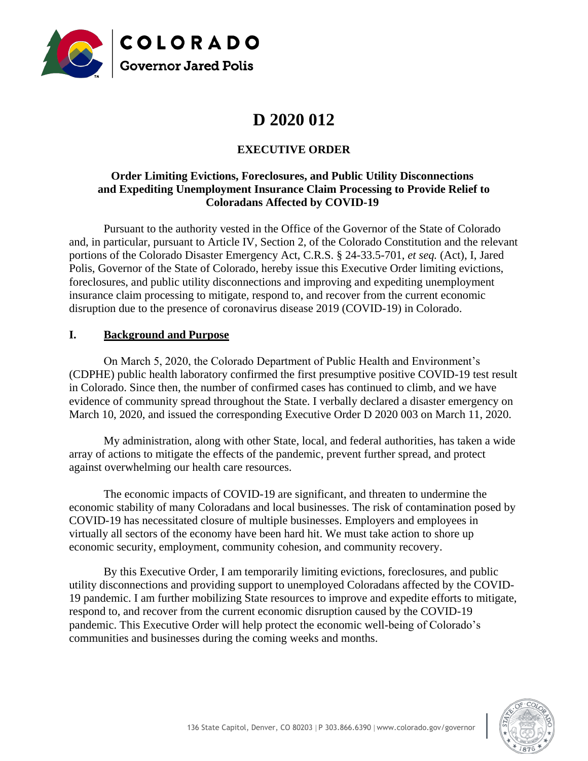

# **D 2020 012**

## **EXECUTIVE ORDER**

#### **Order Limiting Evictions, Foreclosures, and Public Utility Disconnections and Expediting Unemployment Insurance Claim Processing to Provide Relief to Coloradans Affected by COVID-19**

Pursuant to the authority vested in the Office of the Governor of the State of Colorado and, in particular, pursuant to Article IV, Section 2, of the Colorado Constitution and the relevant portions of the Colorado Disaster Emergency Act, C.R.S. § 24-33.5-701, *et seq.* (Act), I, Jared Polis, Governor of the State of Colorado, hereby issue this Executive Order limiting evictions, foreclosures, and public utility disconnections and improving and expediting unemployment insurance claim processing to mitigate, respond to, and recover from the current economic disruption due to the presence of coronavirus disease 2019 (COVID-19) in Colorado.

#### **I. Background and Purpose**

On March 5, 2020, the Colorado Department of Public Health and Environment's (CDPHE) public health laboratory confirmed the first presumptive positive COVID-19 test result in Colorado. Since then, the number of confirmed cases has continued to climb, and we have evidence of community spread throughout the State. I verbally declared a disaster emergency on March 10, 2020, and issued the corresponding Executive Order D 2020 003 on March 11, 2020.

My administration, along with other State, local, and federal authorities, has taken a wide array of actions to mitigate the effects of the pandemic, prevent further spread, and protect against overwhelming our health care resources.

The economic impacts of COVID-19 are significant, and threaten to undermine the economic stability of many Coloradans and local businesses. The risk of contamination posed by COVID-19 has necessitated closure of multiple businesses. Employers and employees in virtually all sectors of the economy have been hard hit. We must take action to shore up economic security, employment, community cohesion, and community recovery.

By this Executive Order, I am temporarily limiting evictions, foreclosures, and public utility disconnections and providing support to unemployed Coloradans affected by the COVID-19 pandemic. I am further mobilizing State resources to improve and expedite efforts to mitigate, respond to, and recover from the current economic disruption caused by the COVID-19 pandemic. This Executive Order will help protect the economic well-being of Colorado's communities and businesses during the coming weeks and months.

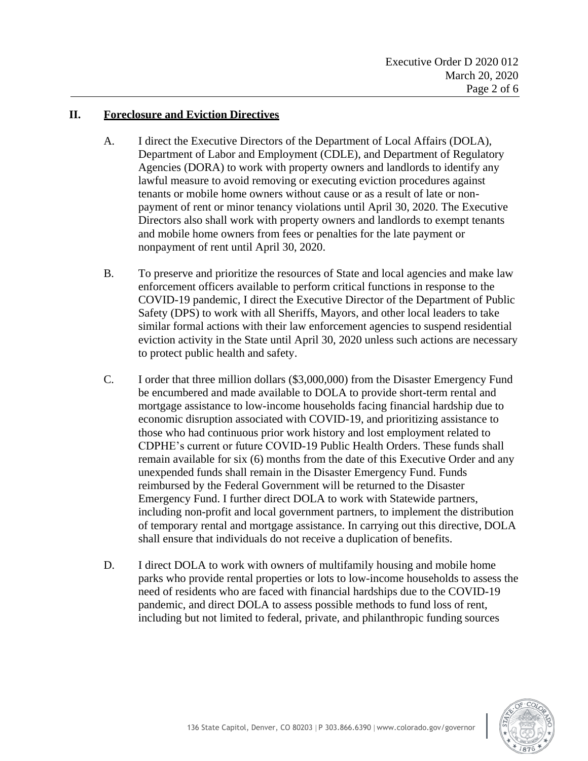#### **II. Foreclosure and Eviction Directives**

- A. I direct the Executive Directors of the Department of Local Affairs (DOLA), Department of Labor and Employment (CDLE), and Department of Regulatory Agencies (DORA) to work with property owners and landlords to identify any lawful measure to avoid removing or executing eviction procedures against tenants or mobile home owners without cause or as a result of late or nonpayment of rent or minor tenancy violations until April 30, 2020. The Executive Directors also shall work with property owners and landlords to exempt tenants and mobile home owners from fees or penalties for the late payment or nonpayment of rent until April 30, 2020.
- B. To preserve and prioritize the resources of State and local agencies and make law enforcement officers available to perform critical functions in response to the COVID-19 pandemic, I direct the Executive Director of the Department of Public Safety (DPS) to work with all Sheriffs, Mayors, and other local leaders to take similar formal actions with their law enforcement agencies to suspend residential eviction activity in the State until April 30, 2020 unless such actions are necessary to protect public health and safety.
- C. I order that three million dollars (\$3,000,000) from the Disaster Emergency Fund be encumbered and made available to DOLA to provide short-term rental and mortgage assistance to low-income households facing financial hardship due to economic disruption associated with COVID-19, and prioritizing assistance to those who had continuous prior work history and lost employment related to CDPHE's current or future COVID-19 Public Health Orders. These funds shall remain available for six (6) months from the date of this Executive Order and any unexpended funds shall remain in the Disaster Emergency Fund. Funds reimbursed by the Federal Government will be returned to the Disaster Emergency Fund. I further direct DOLA to work with Statewide partners, including non-profit and local government partners, to implement the distribution of temporary rental and mortgage assistance. In carrying out this directive, DOLA shall ensure that individuals do not receive a duplication of benefits.
- D. I direct DOLA to work with owners of multifamily housing and mobile home parks who provide rental properties or lots to low-income households to assess the need of residents who are faced with financial hardships due to the COVID-19 pandemic, and direct DOLA to assess possible methods to fund loss of rent, including but not limited to federal, private, and philanthropic funding sources

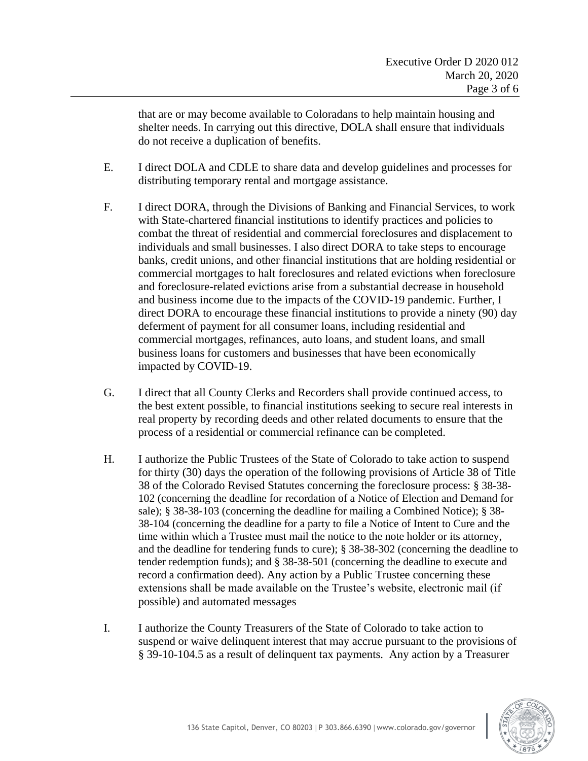that are or may become available to Coloradans to help maintain housing and shelter needs. In carrying out this directive, DOLA shall ensure that individuals do not receive a duplication of benefits.

- E. I direct DOLA and CDLE to share data and develop guidelines and processes for distributing temporary rental and mortgage assistance.
- F. I direct DORA, through the Divisions of Banking and Financial Services, to work with State-chartered financial institutions to identify practices and policies to combat the threat of residential and commercial foreclosures and displacement to individuals and small businesses. I also direct DORA to take steps to encourage banks, credit unions, and other financial institutions that are holding residential or commercial mortgages to halt foreclosures and related evictions when foreclosure and foreclosure-related evictions arise from a substantial decrease in household and business income due to the impacts of the COVID-19 pandemic. Further, I direct DORA to encourage these financial institutions to provide a ninety (90) day deferment of payment for all consumer loans, including residential and commercial mortgages, refinances, auto loans, and student loans, and small business loans for customers and businesses that have been economically impacted by COVID-19.
- G. I direct that all County Clerks and Recorders shall provide continued access, to the best extent possible, to financial institutions seeking to secure real interests in real property by recording deeds and other related documents to ensure that the process of a residential or commercial refinance can be completed.
- H. I authorize the Public Trustees of the State of Colorado to take action to suspend for thirty (30) days the operation of the following provisions of Article 38 of Title 38 of the Colorado Revised Statutes concerning the foreclosure process: § 38-38- 102 (concerning the deadline for recordation of a Notice of Election and Demand for sale); § 38-38-103 (concerning the deadline for mailing a Combined Notice); § 38- 38-104 (concerning the deadline for a party to file a Notice of Intent to Cure and the time within which a Trustee must mail the notice to the note holder or its attorney, and the deadline for tendering funds to cure); § 38-38-302 (concerning the deadline to tender redemption funds); and § 38-38-501 (concerning the deadline to execute and record a confirmation deed). Any action by a Public Trustee concerning these extensions shall be made available on the Trustee's website, electronic mail (if possible) and automated messages
- I. I authorize the County Treasurers of the State of Colorado to take action to suspend or waive delinquent interest that may accrue pursuant to the provisions of § 39-10-104.5 as a result of delinquent tax payments. Any action by a Treasurer

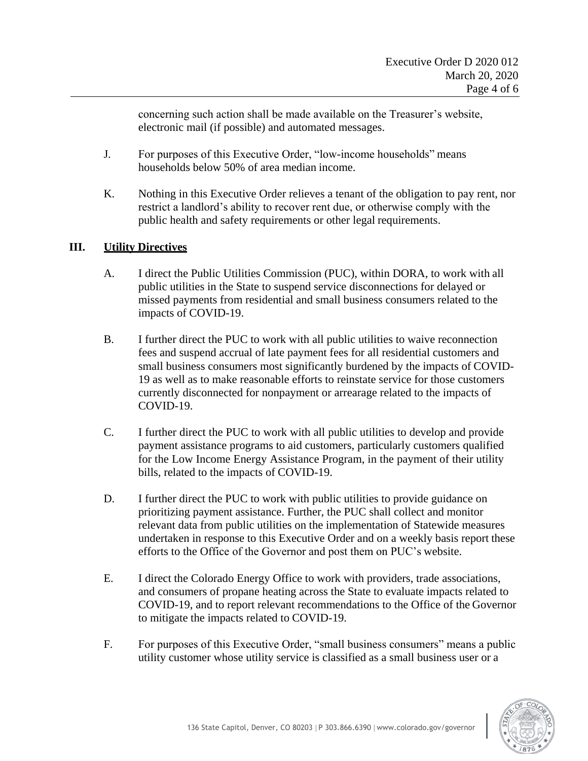concerning such action shall be made available on the Treasurer's website, electronic mail (if possible) and automated messages.

- J. For purposes of this Executive Order, "low-income households" means households below 50% of area median income.
- K. Nothing in this Executive Order relieves a tenant of the obligation to pay rent, nor restrict a landlord's ability to recover rent due, or otherwise comply with the public health and safety requirements or other legal requirements.

#### **III. Utility Directives**

- A. I direct the Public Utilities Commission (PUC), within DORA, to work with all public utilities in the State to suspend service disconnections for delayed or missed payments from residential and small business consumers related to the impacts of COVID-19.
- B. I further direct the PUC to work with all public utilities to waive reconnection fees and suspend accrual of late payment fees for all residential customers and small business consumers most significantly burdened by the impacts of COVID-19 as well as to make reasonable efforts to reinstate service for those customers currently disconnected for nonpayment or arrearage related to the impacts of COVID-19.
- C. I further direct the PUC to work with all public utilities to develop and provide payment assistance programs to aid customers, particularly customers qualified for the Low Income Energy Assistance Program, in the payment of their utility bills, related to the impacts of COVID-19.
- D. I further direct the PUC to work with public utilities to provide guidance on prioritizing payment assistance. Further, the PUC shall collect and monitor relevant data from public utilities on the implementation of Statewide measures undertaken in response to this Executive Order and on a weekly basis report these efforts to the Office of the Governor and post them on PUC's website.
- E. I direct the Colorado Energy Office to work with providers, trade associations, and consumers of propane heating across the State to evaluate impacts related to COVID-19, and to report relevant recommendations to the Office of the Governor to mitigate the impacts related to COVID-19.
- F. For purposes of this Executive Order, "small business consumers" means a public utility customer whose utility service is classified as a small business user or a

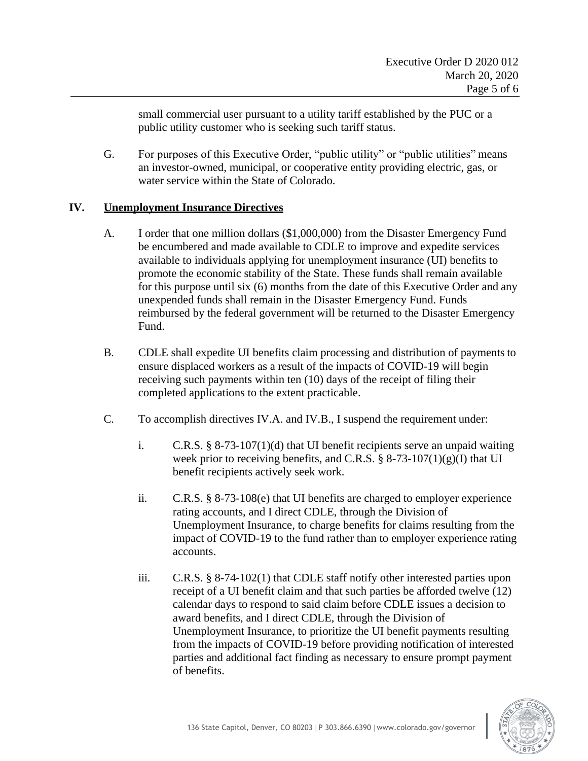small commercial user pursuant to a utility tariff established by the PUC or a public utility customer who is seeking such tariff status.

G. For purposes of this Executive Order, "public utility" or "public utilities" means an investor-owned, municipal, or cooperative entity providing electric, gas, or water service within the State of Colorado.

#### **IV. Unemployment Insurance Directives**

- A. I order that one million dollars (\$1,000,000) from the Disaster Emergency Fund be encumbered and made available to CDLE to improve and expedite services available to individuals applying for unemployment insurance (UI) benefits to promote the economic stability of the State. These funds shall remain available for this purpose until six (6) months from the date of this Executive Order and any unexpended funds shall remain in the Disaster Emergency Fund. Funds reimbursed by the federal government will be returned to the Disaster Emergency Fund.
- B. CDLE shall expedite UI benefits claim processing and distribution of payments to ensure displaced workers as a result of the impacts of COVID-19 will begin receiving such payments within ten (10) days of the receipt of filing their completed applications to the extent practicable.
- C. To accomplish directives IV.A. and IV.B., I suspend the requirement under:
	- i. C.R.S.  $\S 8-73-107(1)(d)$  that UI benefit recipients serve an unpaid waiting week prior to receiving benefits, and C.R.S.  $\S$  8-73-107(1)(g)(I) that UI benefit recipients actively seek work.
	- ii. C.R.S.  $\S 8-73-108(e)$  that UI benefits are charged to employer experience rating accounts, and I direct CDLE, through the Division of Unemployment Insurance, to charge benefits for claims resulting from the impact of COVID-19 to the fund rather than to employer experience rating accounts.
	- iii. C.R.S. § 8-74-102(1) that CDLE staff notify other interested parties upon receipt of a UI benefit claim and that such parties be afforded twelve (12) calendar days to respond to said claim before CDLE issues a decision to award benefits, and I direct CDLE, through the Division of Unemployment Insurance, to prioritize the UI benefit payments resulting from the impacts of COVID-19 before providing notification of interested parties and additional fact finding as necessary to ensure prompt payment of benefits.